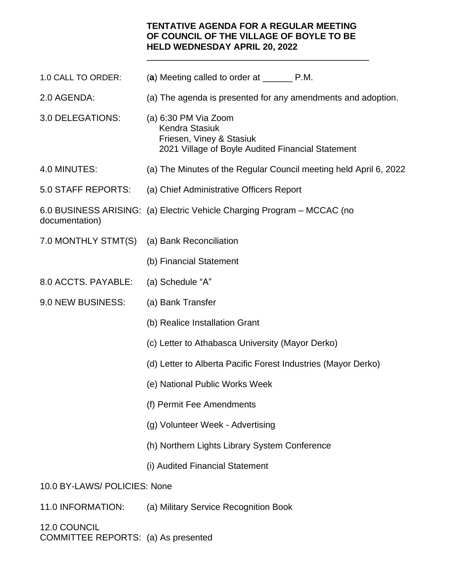## **TENTATIVE AGENDA FOR A REGULAR MEETING OF COUNCIL OF THE VILLAGE OF BOYLE TO BE HELD WEDNESDAY APRIL 20, 2022**

**\_\_\_\_\_\_\_\_\_\_\_\_\_\_\_\_\_\_\_\_\_\_\_\_\_\_\_\_\_\_\_\_\_\_\_\_\_\_\_\_\_\_\_\_\_\_\_\_\_\_**

- 1.0 CALL TO ORDER: (**a**) Meeting called to order at \_\_\_\_\_\_ P.M. 2.0 AGENDA: (a) The agenda is presented for any amendments and adoption. 3.0 DELEGATIONS: (a) 6:30 PM Via Zoom Kendra Stasiuk Friesen, Viney & Stasiuk 2021 Village of Boyle Audited Financial Statement 4.0 MINUTES: (a) The Minutes of the Regular Council meeting held April 6, 2022 5.0 STAFF REPORTS: (a) Chief Administrative Officers Report 6.0 BUSINESS ARISING: (a) Electric Vehicle Charging Program – MCCAC (no documentation) 7.0 MONTHLY STMT(S) (a) Bank Reconciliation (b) Financial Statement 8.0 ACCTS. PAYABLE: (a) Schedule "A" 9.0 NEW BUSINESS: (a) Bank Transfer (b) Realice Installation Grant (c) Letter to Athabasca University (Mayor Derko) (d) Letter to Alberta Pacific Forest Industries (Mayor Derko) (e) National Public Works Week (f) Permit Fee Amendments (g) Volunteer Week - Advertising (h) Northern Lights Library System Conference (i) Audited Financial Statement 10.0 BY-LAWS/ POLICIES: None
- 11.0 INFORMATION: (a) Military Service Recognition Book

12.0 COUNCIL COMMITTEE REPORTS: (a) As presented